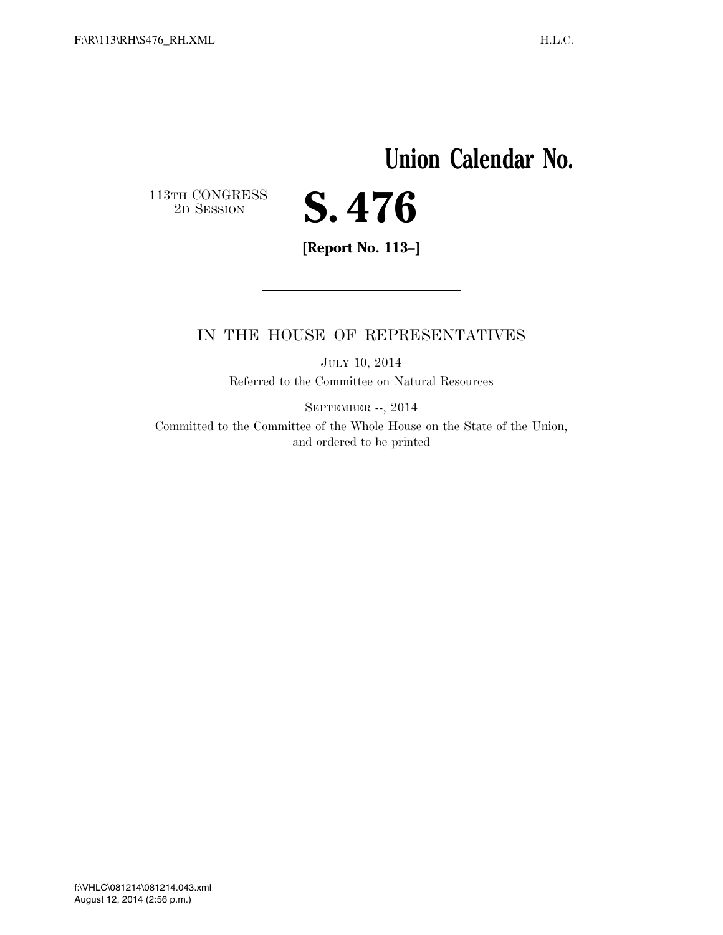## **Union Calendar No.**

 $\begin{array}{c} \textbf{113TH CONGRESS} \\ \textbf{2D} \textbf{Session} \end{array}$ 



**[Report No. 113–]** 

## IN THE HOUSE OF REPRESENTATIVES

JULY 10, 2014 Referred to the Committee on Natural Resources

SEPTEMBER --, 2014

Committed to the Committee of the Whole House on the State of the Union, and ordered to be printed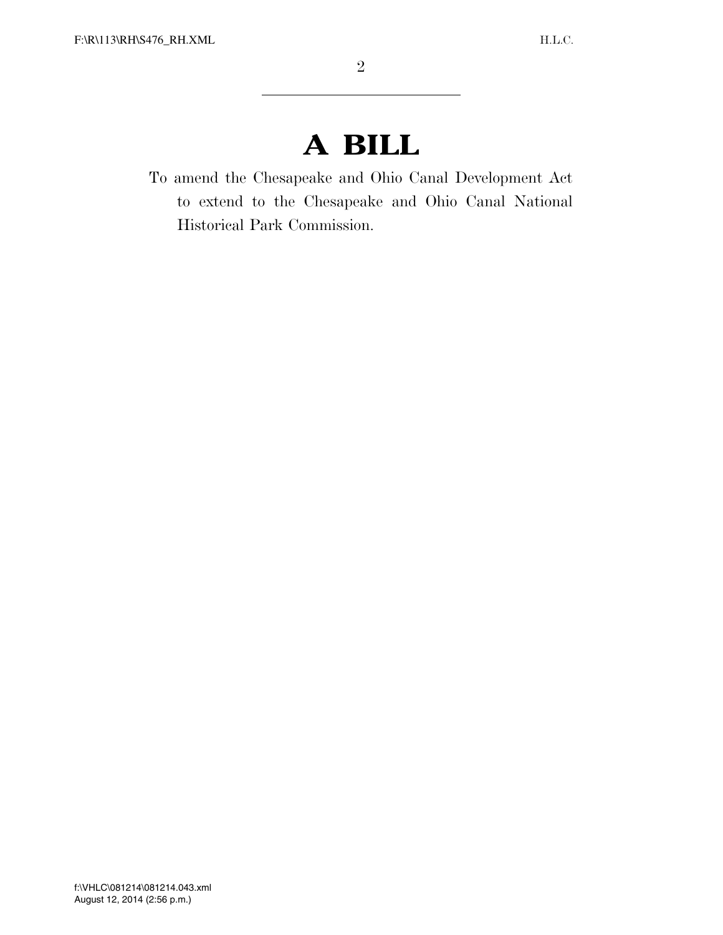## **A BILL**

To amend the Chesapeake and Ohio Canal Development Act to extend to the Chesapeake and Ohio Canal National Historical Park Commission.